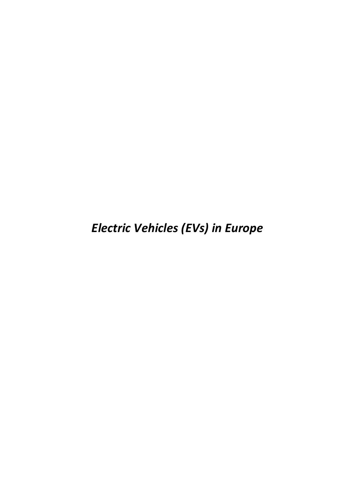*Electric Vehicles (EVs) in Europe*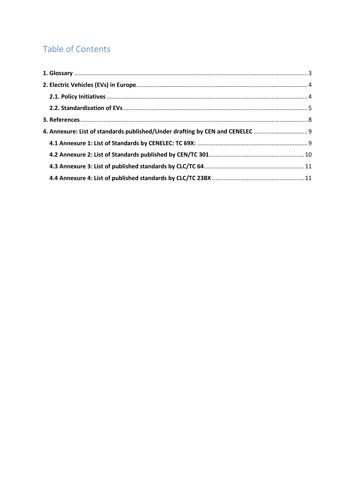# Table of Contents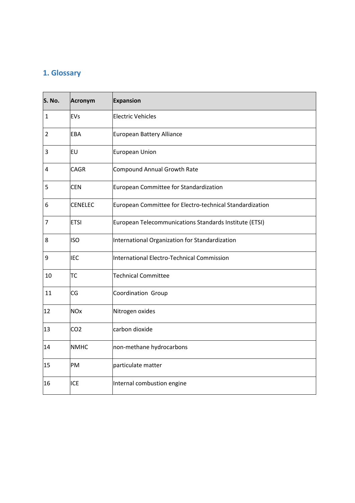# <span id="page-2-0"></span>**1. Glossary**

| S. No.         | Acronym         | Expansion                                                |
|----------------|-----------------|----------------------------------------------------------|
| 1              | EVs             | <b>Electric Vehicles</b>                                 |
| $\overline{2}$ | EBA             | European Battery Alliance                                |
| 3              | <b>EU</b>       | European Union                                           |
| 4              | <b>CAGR</b>     | Compound Annual Growth Rate                              |
| 5              | <b>CEN</b>      | European Committee for Standardization                   |
| 6              | <b>CENELEC</b>  | European Committee for Electro-technical Standardization |
| 7              | <b>ETSI</b>     | European Telecommunications Standards Institute (ETSI)   |
| 8              | <b>ISO</b>      | International Organization for Standardization           |
| 9              | <b>IEC</b>      | International Electro-Technical Commission               |
| 10             | <b>TC</b>       | <b>Technical Committee</b>                               |
| 11             | CG              | Coordination Group                                       |
| 12             | <b>NOx</b>      | Nitrogen oxides                                          |
| 13             | CO <sub>2</sub> | carbon dioxide                                           |
| 14             | <b>NMHC</b>     | non-methane hydrocarbons                                 |
| 15             | PM              | particulate matter                                       |
| 16             | <b>ICE</b>      | Internal combustion engine                               |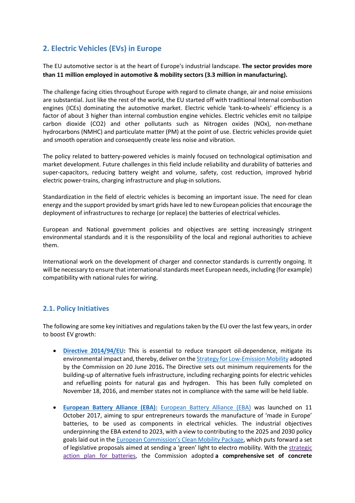## <span id="page-3-0"></span>**2. Electric Vehicles (EVs) in Europe**

The EU automotive sector is at the heart of Europe's industrial landscape. **The sector provides more than 11 million employed in automotive & mobility sectors (3.3 million in manufacturing).**

The challenge facing cities throughout Europe with regard to climate change, air and noise emissions are substantial. Just like the rest of the world, the EU started off with traditional Internal combustion engines (ICEs) dominating the automotive market. Electric vehicle 'tank-to-wheels' efficiency is a factor of about 3 higher than internal combustion engine vehicles. Electric vehicles emit no tailpipe carbon dioxide (CO2) and other pollutants such as Nitrogen oxides (NOx), non-methane hydrocarbons (NMHC) and particulate matter (PM) at the point of use. Electric vehicles provide quiet and smooth operation and consequently create less noise and vibration.

The policy related to battery-powered vehicles is mainly focused on technological optimisation and market development. Future challenges in this field include reliability and durability of batteries and super-capacitors, reducing battery weight and volume, safety, cost reduction, improved hybrid electric power-trains, charging infrastructure and plug-in solutions.

Standardization in the field of electric vehicles is becoming an important issue. The need for clean energy and the support provided by smart grids have led to new European policies that encourage the deployment of infrastructures to recharge (or replace) the batteries of electrical vehicles.

European and National government policies and objectives are setting increasingly stringent environmental standards and it is the responsibility of the local and regional authorities to achieve them.

International work on the development of charger and connector standards is currently ongoing. It will be necessary to ensure that international standards meet European needs, including (for example) compatibility with national rules for wiring.

### <span id="page-3-1"></span>**2.1. Policy Initiatives**

The following are some key initiatives and regulations taken by the EU over the last few years, in order to boost EV growth:

- **[Directive 2014/94/EU:](https://eur-lex.europa.eu/legal-content/EN/TXT/?uri=celex%3A32014L0094)** This is essential to reduce transport oil-dependence, mitigate its environmental impact and, thereby, deliver on th[e Strategy for Low-Emission Mobility](https://ec.europa.eu/transport/sites/transport/files/themes/strategies/news/doc/2016-07-20-decarbonisation/com%282016%29501_en.pdf) adopted by the Commission on 20 June 2016**.** The Directive sets out minimum requirements for the building-up of alternative fuels infrastructure, including recharging points for electric vehicles and refuelling points for natural gas and hydrogen. This has been fully completed on November 18, 2016, and member states not in compliance with the same will be held liable.
- **[European Battery Alliance \(EBA\):](https://ec.europa.eu/growth/industry/policy/european-battery-alliance_en)** [European Battery Alliance \(EBA\)](https://ec.europa.eu/growth/industry/policy/european-battery-alliance_en) was launched on 11 October 2017, aiming to spur entrepreneurs towards the manufacture of 'made in Europe' batteries, to be used as components in electrical vehicles. The industrial objectives underpinning the EBA extend to 2023, with a view to contributing to the 2025 and 2030 policy goals laid out in the [European Commission's Clean Mobility Package](https://www.iru.org/where-we-work/europe/europe-overview/european-commission-mobility-package), which puts forward a set of legislative proposals aimed at sending a 'green' light to electro mobility. With the [strategic](http://eur-lex.europa.eu/resource.html?uri=cellar:0e8b694e-59b5-11e8-ab41-01aa75ed71a1.0003.02/DOC_3&format=PDF)  [action plan for batteries,](http://eur-lex.europa.eu/resource.html?uri=cellar:0e8b694e-59b5-11e8-ab41-01aa75ed71a1.0003.02/DOC_3&format=PDF) the Commission adopted **a comprehensive set of concrete**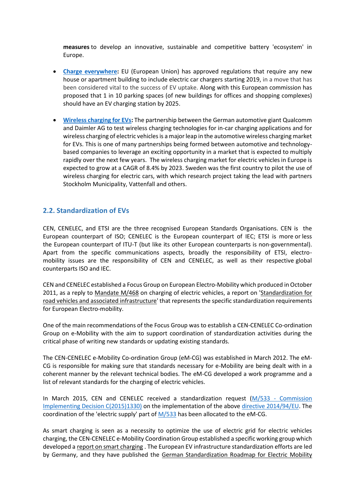**measures** to develop an innovative, sustainable and competitive battery 'ecosystem' in Europe.

- **[Charge everywhere:](https://www.theguardian.com/sustainable-business/2016/oct/11/electric-car-charging-point-new-home-europe-renault)** EU (European Union) has approved regulations that require any new house or apartment building to include electric car chargers starting 2019, in a move that has been considered vital to the success of EV uptake. Along with this European commission has proposed that 1 in 10 parking spaces (of new buildings for offices and shopping complexes) should have an EV charging station by 2025.
- **[Wireless charging for EVs:](https://www.prnewswire.com/news-releases/europe-wireless-charging-market-for-electric-vehicles---segmented-by-geography-and-vendors---trends-and-forecasts-2018---2023-300648841.html)** The partnership between the German automotive giant Qualcomm and Daimler AG to test wireless charging technologies for in-car charging applications and for wireless charging of electric vehicles is a major leap in the automotive wireless charging market for EVs. This is one of many partnerships being formed between automotive and technologybased companies to leverage an exciting opportunity in a market that is expected to multiply rapidly over the next few years. The wireless charging market for electric vehicles in Europe is expected to grow at a CAGR of 8.4% by 2023. Sweden was the first country to pilot the use of wireless charging for electric cars, with which research project taking the lead with partners Stockholm Municipality, Vattenfall and others.

### <span id="page-4-0"></span>**2.2. Standardization of EVs**

CEN, CENELEC, and ETSI are the three recognised European Standards Organisations. CEN is the European counterpart of ISO; CENELEC is the European counterpart of IEC; ETSI is more or less the European counterpart of ITU-T (but like its other European counterparts is non-governmental). Apart from the specific communications aspects, broadly the responsibility of ETSI, electromobility issues are the responsibility of CEN and CENELEC, as well as their respective global counterparts ISO and IEC.

CEN and CENELEC established a Focus Group on European Electro-Mobility which produced in October 2011, as a reply to [Mandate](ftp://ftp.cen.eu/CEN/Sectors/List/Transport/Automobile/ElectricVehiclesMandate.pdf) M/468 on charging of electric vehicles, a report on ['Standardization](ftp://ftp.cen.eu/CEN/Sectors/List/Transport/Automobile/EV_Report_incl_annexes.pdf) for road vehicles and associated [infrastructure'](ftp://ftp.cen.eu/CEN/Sectors/List/Transport/Automobile/EV_Report_incl_annexes.pdf) that represents the specific standardization requirements for European Electro-mobility.

One of the main recommendations of the Focus Group was to establish a CEN-CENELEC Co-ordination Group on e-Mobility with the aim to support coordination of standardization activities during the critical phase of writing new standards or updating existing standards.

The CEN-CENELEC e-Mobility Co-ordination Group (eM-CG) was established in March 2012. The eM-CG is responsible for making sure that standards necessary for e-Mobility are being dealt with in a coherent manner by the relevant technical bodies. The eM-CG developed a work programme and a list of relevant standards for the charging of electric vehicles.

In March 2015, CEN and CENELEC received a standardization request (M/533 - [Commission](http://ec.europa.eu/growth/tools-databases/mandates/index.cfm?fuseaction=search.detail&id=552)  [Implementing Decision C\(2015\)1330\)](http://ec.europa.eu/growth/tools-databases/mandates/index.cfm?fuseaction=search.detail&id=552) on the implementation of the abov[e directive 2014/94/EU.](https://eur-lex.europa.eu/legal-content/EN/TXT/?uri=celex%3A32014L0094) The coordination of the 'electric supply' part of  $M/533$  has been allocated to the eM-CG.

As smart charging is seen as a necessity to optimize the use of electric grid for electric vehicles charging, the CEN-CENELEC e-Mobility Coordination Group established a specific working group which developed a report on smart [charging](ftp://ftp.cen.eu/EN/EuropeanStandardization/HotTopics/ElectricVehicles/SmartChargingReport.pdf) . The European EV infrastructure standardization efforts are led by Germany, and they have published the German Standardization Roadmap for Electric Mobility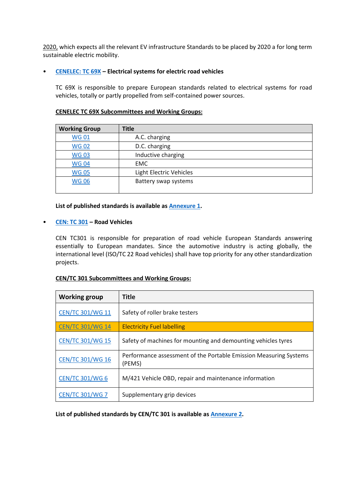[2020,](https://www.din.de/blob/235254/a0d14b63b9685859b1c0c297827e50f8/roadmap-en-2020-data.pdf) which expects all the relevant EV infrastructure Standards to be placed by 2020 a for long term sustainable electric mobility.

#### • **[CENELEC: TC 69X](https://www.cenelec.eu/dyn/www/f?p=104:7:1635304861018001::::FSP_ORG_ID:1258145) – Electrical systems for electric road vehicles**

TC 69X is responsible to prepare European standards related to electrical systems for road vehicles, totally or partly propelled from self-contained power sources.

| <b>Working Group</b> | <b>Title</b>            |
|----------------------|-------------------------|
| <b>WG01</b>          | A.C. charging           |
| <b>WG02</b>          | D.C. charging           |
| <b>WG03</b>          | Inductive charging      |
| <b>WG04</b>          | <b>EMC</b>              |
| <b>WG05</b>          | Light Electric Vehicles |
| <b>WG06</b>          | Battery swap systems    |
|                      |                         |

#### **CENELEC TC 69X Subcommittees and Working Groups:**

#### **List of published standards is available a[s Annexure 1.](#page-8-1)**

#### • **[CEN: TC 301](https://standards.cen.eu/dyn/www/f?p=204:7:0::::FSP_ORG_ID:6282&cs=12018B2C1236D7DDF2BF081418E32DEB5) – Road Vehicles**

CEN TC301 is responsible for preparation of road vehicle European Standards answering essentially to European mandates. Since the automotive industry is acting globally, the international level (ISO/TC 22 Road vehicles) shall have top priority for any other standardization projects.

#### **CEN/TC 301 Subcommittees and Working Groups:**

| <b>Working group</b>    | <b>Title</b>                                                                |
|-------------------------|-----------------------------------------------------------------------------|
| <b>CEN/TC 301/WG 11</b> | Safety of roller brake testers                                              |
| <b>CEN/TC 301/WG 14</b> | <b>Electricity Fuel labelling</b>                                           |
| <b>CEN/TC 301/WG 15</b> | Safety of machines for mounting and demounting vehicles tyres               |
| <b>CEN/TC 301/WG 16</b> | Performance assessment of the Portable Emission Measuring Systems<br>(PEMS) |
| <b>CEN/TC 301/WG 6</b>  | M/421 Vehicle OBD, repair and maintenance information                       |
| <b>CEN/TC 301/WG 7</b>  | Supplementary grip devices                                                  |

**List of published standards by CEN/TC 301 is available as [Annexure 2.](#page-9-0)**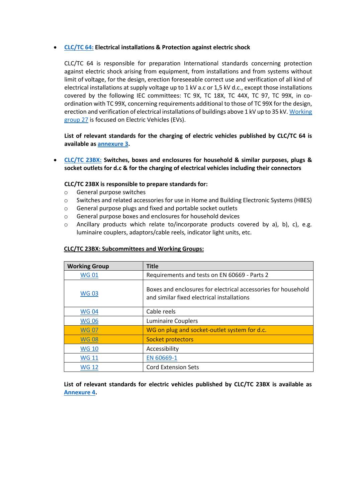#### • **[CLC/TC 64:](https://www.cenelec.eu/dyn/www/f?p=104:7:319898878896901::::FSP_ORG_ID,FSP_LANG_ID:1257163,25) Electrical installations & Protection against electric shock**

CLC/TC 64 is responsible for preparation International standards concerning protection against electric shock arising from equipment, from installations and from systems without limit of voltage, for the design, erection foreseeable correct use and verification of all kind of electrical installations at supply voltage up to 1 kV a.c or 1,5 kV d.c., except those installations covered by the following IEC committees: TC 9X, TC 18X, TC 44X, TC 97, TC 99X, in coordination with TC 99X, concerning requirements additional to those of TC 99X for the design, erection and verification of electrical installations of buildings above 1 kV up to 35 kV. [Working](https://www.cenelec.eu/dyn/www/f?p=104:14:1396710717466401::::FSP_ORG_ID,FSP_LANG_ID:1259521,25)  [group 27](https://www.cenelec.eu/dyn/www/f?p=104:14:1396710717466401::::FSP_ORG_ID,FSP_LANG_ID:1259521,25) is focused on Electric Vehicles (EVs).

**List of relevant standards for the charging of electric vehicles published by CLC/TC 64 is available as [annexure 3.](#page-10-0)**

• **[CLC/TC 23BX:](https://www.cenelec.eu/dyn/www/f?p=104:7:835309239927901::::FSP_ORG_ID,FSP_LANG_ID:1257219,25) Switches, boxes and enclosures for household & similar purposes, plugs & socket outlets for d.c & for the charging of electrical vehicles including their connectors**

#### **CLC/TC 23BX is responsible to prepare standards for:**

- o General purpose switches
- o Switches and related accessories for use in Home and Building Electronic Systems (HBES)
- o General purpose plugs and fixed and portable socket outlets
- o General purpose boxes and enclosures for household devices
- $\circ$  Ancillary products which relate to/incorporate products covered by a), b), c), e.g. luminaire couplers, adaptors/cable reels, indicator light units, etc.

| <b>Working Group</b> | <b>Title</b>                                                                                                |
|----------------------|-------------------------------------------------------------------------------------------------------------|
| <b>WG01</b>          | Requirements and tests on EN 60669 - Parts 2                                                                |
| <b>WG03</b>          | Boxes and enclosures for electrical accessories for household<br>and similar fixed electrical installations |
| <b>WG04</b>          | Cable reels                                                                                                 |
| <b>WG06</b>          | <b>Luminaire Couplers</b>                                                                                   |
| <b>WG07</b>          | WG on plug and socket-outlet system for d.c.                                                                |
| <b>WG08</b>          | Socket protectors                                                                                           |
| <b>WG 10</b>         | Accessibility                                                                                               |
| <b>WG 11</b>         | EN 60669-1                                                                                                  |
| <b>WG 12</b>         | <b>Cord Extension Sets</b>                                                                                  |

#### **CLC/TC 23BX: Subcommittees and Working Groups:**

**List of relevant standards for electric vehicles published by CLC/TC 23BX is available as [Annexure 4.](#page-10-1)**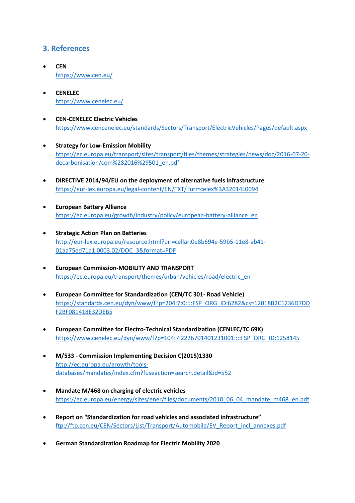### <span id="page-7-0"></span>**3. References**

- **CEN** <https://www.cen.eu/>
- **CENELEC** <https://www.cenelec.eu/>
- **CEN-CENELEC Electric Vehicles** <https://www.cencenelec.eu/standards/Sectors/Transport/ElectricVehicles/Pages/default.aspx>
- **[Strategy for Low-Emission Mobility](https://ec.europa.eu/transport/sites/transport/files/themes/strategies/news/doc/2016-07-20-decarbonisation/com%282016%29501_en.pdf)** [https://ec.europa.eu/transport/sites/transport/files/themes/strategies/news/doc/2016-07-20](https://ec.europa.eu/transport/sites/transport/files/themes/strategies/news/doc/2016-07-20-decarbonisation/com%282016%29501_en.pdf) [decarbonisation/com%282016%29501\\_en.pdf](https://ec.europa.eu/transport/sites/transport/files/themes/strategies/news/doc/2016-07-20-decarbonisation/com%282016%29501_en.pdf)
- **DIRECTIVE 2014/94/EU on the deployment of alternative fuels infrastructure** <https://eur-lex.europa.eu/legal-content/EN/TXT/?uri=celex%3A32014L0094>
- **European Battery Alliance** [https://ec.europa.eu/growth/industry/policy/european-battery-alliance\\_en](https://ec.europa.eu/growth/industry/policy/european-battery-alliance_en)
- **Strategic Action Plan on Batteries** [http://eur-lex.europa.eu/resource.html?uri=cellar:0e8b694e-59b5-11e8-ab41-](http://eur-lex.europa.eu/resource.html?uri=cellar:0e8b694e-59b5-11e8-ab41-01aa75ed71a1.0003.02/DOC_3&format=PDF) [01aa75ed71a1.0003.02/DOC\\_3&format=PDF](http://eur-lex.europa.eu/resource.html?uri=cellar:0e8b694e-59b5-11e8-ab41-01aa75ed71a1.0003.02/DOC_3&format=PDF)
- **European Commission-MOBILITY AND TRANSPORT** [https://ec.europa.eu/transport/themes/urban/vehicles/road/electric\\_en](https://ec.europa.eu/transport/themes/urban/vehicles/road/electric_en)
- **European Committee for Standardization (CEN/TC 301- Road Vehicle)** [https://standards.cen.eu/dyn/www/f?p=204:7:0::::FSP\\_ORG\\_ID:6282&cs=12018B2C1236D7DD](https://standards.cen.eu/dyn/www/f?p=204:7:0::::FSP_ORG_ID:6282&cs=12018B2C1236D7DDF2BF081418E32DEB5) [F2BF081418E32DEB5](https://standards.cen.eu/dyn/www/f?p=204:7:0::::FSP_ORG_ID:6282&cs=12018B2C1236D7DDF2BF081418E32DEB5)
- **European Committee for Electro-Technical Standardization (CENLEC/TC 69X)** [https://www.cenelec.eu/dyn/www/f?p=104:7:2226701401231001::::FSP\\_ORG\\_ID:1258145](https://www.cenelec.eu/dyn/www/f?p=104:7:2226701401231001::::FSP_ORG_ID:1258145)
- **M/533 - Commission Implementing Decision C(2015)1330** [http://ec.europa.eu/growth/tools](http://ec.europa.eu/growth/tools-databases/mandates/index.cfm?fuseaction=search.detail&id=552)[databases/mandates/index.cfm?fuseaction=search.detail&id=552](http://ec.europa.eu/growth/tools-databases/mandates/index.cfm?fuseaction=search.detail&id=552)
- **Mandate M/468 on charging of electric vehicles** [https://ec.europa.eu/energy/sites/ener/files/documents/2010\\_06\\_04\\_mandate\\_m468\\_en.pdf](https://ec.europa.eu/energy/sites/ener/files/documents/2010_06_04_mandate_m468_en.pdf)
- **Report on "Standardization for road vehicles and associated infrastructure"** [ftp://ftp.cen.eu/CEN/Sectors/List/Transport/Automobile/EV\\_Report\\_incl\\_annexes.pdf](ftp://ftp.cen.eu/CEN/Sectors/List/Transport/Automobile/EV_Report_incl_annexes.pdf)
- **German Standardization Roadmap for Electric Mobility 2020**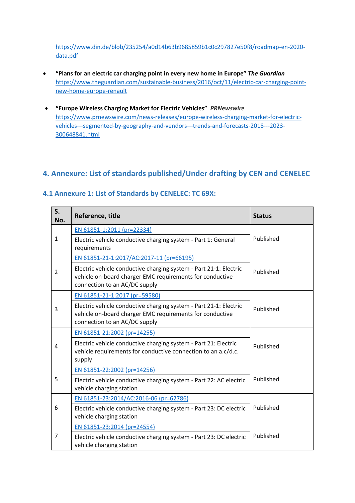[https://www.din.de/blob/235254/a0d14b63b9685859b1c0c297827e50f8/roadmap-en-2020](https://www.din.de/blob/235254/a0d14b63b9685859b1c0c297827e50f8/roadmap-en-2020-data.pdf) [data.pdf](https://www.din.de/blob/235254/a0d14b63b9685859b1c0c297827e50f8/roadmap-en-2020-data.pdf)

- **"Plans for an electric car charging point in every new home in Europe"** *The Guardian* [https://www.theguardian.com/sustainable-business/2016/oct/11/electric-car-charging-point](https://www.theguardian.com/sustainable-business/2016/oct/11/electric-car-charging-point-new-home-europe-renault)[new-home-europe-renault](https://www.theguardian.com/sustainable-business/2016/oct/11/electric-car-charging-point-new-home-europe-renault)
- **"Europe Wireless Charging Market for Electric Vehicles"** *PRNewswire* [https://www.prnewswire.com/news-releases/europe-wireless-charging-market-for-electric](https://www.prnewswire.com/news-releases/europe-wireless-charging-market-for-electric-vehicles---segmented-by-geography-and-vendors---trends-and-forecasts-2018---2023-300648841.html)[vehicles---segmented-by-geography-and-vendors---trends-and-forecasts-2018---2023-](https://www.prnewswire.com/news-releases/europe-wireless-charging-market-for-electric-vehicles---segmented-by-geography-and-vendors---trends-and-forecasts-2018---2023-300648841.html) [300648841.html](https://www.prnewswire.com/news-releases/europe-wireless-charging-market-for-electric-vehicles---segmented-by-geography-and-vendors---trends-and-forecasts-2018---2023-300648841.html)

### <span id="page-8-0"></span>**4. Annexure: List of standards published/Under drafting by CEN and CENELEC**

<span id="page-8-1"></span>

| S.<br>No. | Reference, title                                                                                                                                               | <b>Status</b> |
|-----------|----------------------------------------------------------------------------------------------------------------------------------------------------------------|---------------|
|           | EN 61851-1:2011 (pr=22334)                                                                                                                                     |               |
| 1         | Electric vehicle conductive charging system - Part 1: General<br>requirements                                                                                  | Published     |
|           | EN 61851-21-1:2017/AC:2017-11 (pr=66195)                                                                                                                       |               |
| 2         | Electric vehicle conductive charging system - Part 21-1: Electric<br>vehicle on-board charger EMC requirements for conductive<br>connection to an AC/DC supply | Published     |
|           | EN 61851-21-1:2017 (pr=59580)                                                                                                                                  |               |
| 3         | Electric vehicle conductive charging system - Part 21-1: Electric<br>vehicle on-board charger EMC requirements for conductive<br>connection to an AC/DC supply | Published     |
|           | EN 61851-21:2002 (pr=14255)                                                                                                                                    |               |
| 4         | Electric vehicle conductive charging system - Part 21: Electric<br>vehicle requirements for conductive connection to an a.c/d.c.<br>supply                     | Published     |
|           | EN 61851-22:2002 (pr=14256)                                                                                                                                    |               |
| 5         | Electric vehicle conductive charging system - Part 22: AC electric<br>vehicle charging station                                                                 | Published     |
|           | EN 61851-23:2014/AC:2016-06 (pr=62786)                                                                                                                         |               |
| 6         | Electric vehicle conductive charging system - Part 23: DC electric<br>vehicle charging station                                                                 | Published     |
|           | EN 61851-23:2014 (pr=24554)                                                                                                                                    |               |
| 7         | Electric vehicle conductive charging system - Part 23: DC electric<br>vehicle charging station                                                                 | Published     |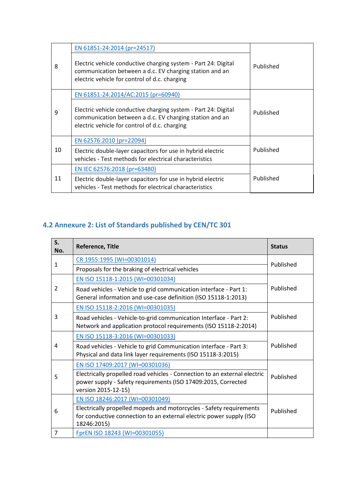|    | EN 61851-24:2014 (pr=24517)                                                                                                                                                |           |
|----|----------------------------------------------------------------------------------------------------------------------------------------------------------------------------|-----------|
| 8  | Electric vehicle conductive charging system - Part 24: Digital<br>communication between a d.c. EV charging station and an<br>electric vehicle for control of d.c. charging | Published |
|    | EN 61851-24:2014/AC:2015 (pr=60940)                                                                                                                                        |           |
| 9  | Electric vehicle conductive charging system - Part 24: Digital<br>communication between a d.c. EV charging station and an<br>electric vehicle for control of d.c. charging | Published |
|    | EN 62576:2010 (pr=22094)                                                                                                                                                   |           |
| 10 | Electric double-layer capacitors for use in hybrid electric<br>vehicles - Test methods for electrical characteristics                                                      | Published |
|    | EN IEC 62576:2018 (pr=63480)                                                                                                                                               |           |
| 11 | Electric double-layer capacitors for use in hybrid electric<br>vehicles - Test methods for electrical characteristics                                                      | Published |

# <span id="page-9-0"></span>**4.2 Annexure 2: List of Standards published by CEN/TC 301**

| S.<br>No. | Reference, Title                                                                                                                                                  | <b>Status</b> |  |
|-----------|-------------------------------------------------------------------------------------------------------------------------------------------------------------------|---------------|--|
| 1         | CR 1955:1995 (WI=00301014)                                                                                                                                        | Published     |  |
|           | Proposals for the braking of electrical vehicles                                                                                                                  |               |  |
|           | EN ISO 15118-1:2015 (WI=00301034)                                                                                                                                 |               |  |
| 2         | Road vehicles - Vehicle to grid communication interface - Part 1:<br>General information and use-case definition (ISO 15118-1:2013)                               | Published     |  |
|           | EN ISO 15118-2:2016 (WI=00301035)                                                                                                                                 |               |  |
| 3         | Road vehicles - Vehicle-to-grid communication Interface - Part 2:<br>Network and application protocol requirements (ISO 15118-2:2014)                             | Published     |  |
|           | EN ISO 15118-3:2016 (WI=00301033)                                                                                                                                 |               |  |
| 4         | Road vehicles - Vehicle to grid Communication interface - Part 3:<br>Physical and data link layer requirements (ISO 15118-3:2015)                                 | Published     |  |
|           | EN ISO 17409:2017 (WI=00301036)                                                                                                                                   |               |  |
| 5         | Electrically propelled road vehicles - Connection to an external electric<br>power supply - Safety requirements (ISO 17409:2015, Corrected<br>version 2015-12-15) | Published     |  |
| 6         | EN ISO 18246:2017 (WI=00301049)                                                                                                                                   |               |  |
|           | Electrically propelled mopeds and motorcycles - Safety requirements<br>for conductive connection to an external electric power supply (ISO<br>18246:2015)         | Published     |  |
| 7         | FprEN ISO 18243 (WI=00301055)                                                                                                                                     |               |  |